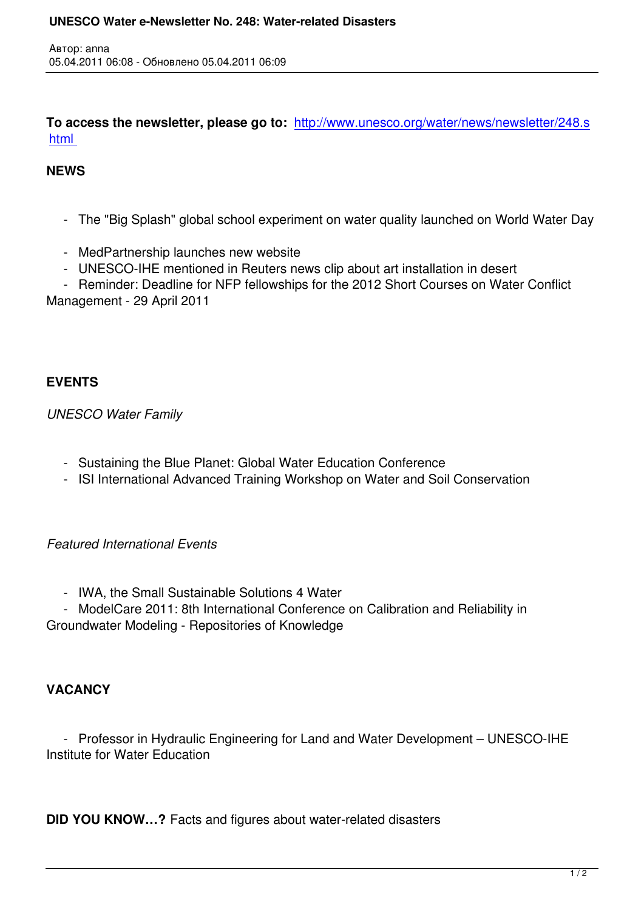**To access the newsletter, please go to:** http://www.unesco.org/water/news/newsletter/248.s html

## **NEWS**

Автор: anna

- The "Big Splash" global school experiment on water quality launched on World Water Day
- MedPartnership launches new website
- UNESCO-IHE mentioned in Reuters news clip about art installation in desert
- Reminder: Deadline for NFP fellowships for the 2012 Short Courses on Water Conflict Management - 29 April 2011

## **EVENTS**

*UNESCO Water Family*

- Sustaining the Blue Planet: Global Water Education Conference
- ISI International Advanced Training Workshop on Water and Soil Conservation

## *Featured International Events*

- IWA, the Small Sustainable Solutions 4 Water

 - ModelCare 2011: 8th International Conference on Calibration and Reliability in Groundwater Modeling - Repositories of Knowledge

## **VACANCY**

 - Professor in Hydraulic Engineering for Land and Water Development – UNESCO-IHE Institute for Water Education

**DID YOU KNOW…?** Facts and figures about water-related disasters